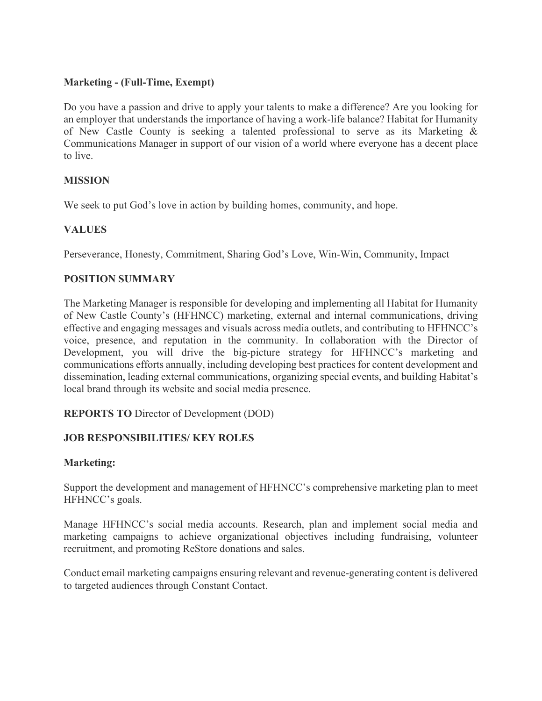### **Marketing - (Full-Time, Exempt)**

Do you have a passion and drive to apply your talents to make a difference? Are you looking for an employer that understands the importance of having a work-life balance? Habitat for Humanity of New Castle County is seeking a talented professional to serve as its Marketing & Communications Manager in support of our vision of a world where everyone has a decent place to live.

# **MISSION**

We seek to put God's love in action by building homes, community, and hope.

# **VALUES**

Perseverance, Honesty, Commitment, Sharing God's Love, Win-Win, Community, Impact

# **POSITION SUMMARY**

The Marketing Manager is responsible for developing and implementing all Habitat for Humanity of New Castle County's (HFHNCC) marketing, external and internal communications, driving effective and engaging messages and visuals across media outlets, and contributing to HFHNCC's voice, presence, and reputation in the community. In collaboration with the Director of Development, you will drive the big-picture strategy for HFHNCC's marketing and communications efforts annually, including developing best practices for content development and dissemination, leading external communications, organizing special events, and building Habitat's local brand through its website and social media presence.

#### **REPORTS TO** Director of Development (DOD)

# **JOB RESPONSIBILITIES/ KEY ROLES**

#### **Marketing:**

Support the development and management of HFHNCC's comprehensive marketing plan to meet HFHNCC's goals.

Manage HFHNCC's social media accounts. Research, plan and implement social media and marketing campaigns to achieve organizational objectives including fundraising, volunteer recruitment, and promoting ReStore donations and sales.

Conduct email marketing campaigns ensuring relevant and revenue-generating content is delivered to targeted audiences through Constant Contact.